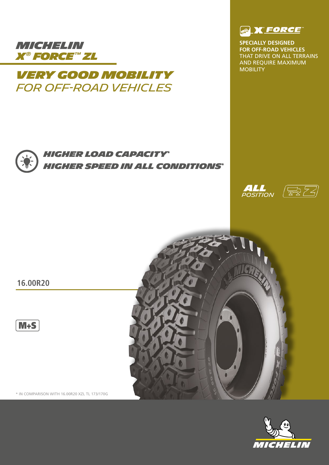

# MOBILITY *VERY GOOD MOBILITY for off-road vehicleS*



**SPECIALLY DESIGNED FOR OFF-ROAD VEHICLES**  THAT DRIVE ON ALL TERRAINS AND REQUIRE MAXIMUM<br>MOBILITY



## *HIGHER LOAD CAPACITY\* HIGHER SPEED IN ALL CONDITIONS\**





**16.00R20**

 $M+S$ 

\* IN COMPARISON WITH 16.00R20 XZL TL 173/170G



 $\bullet$